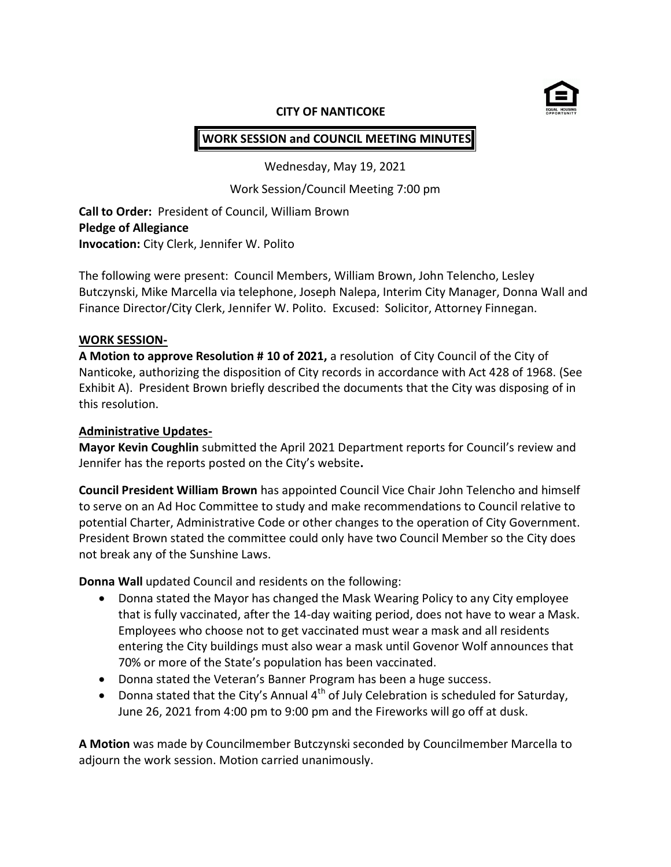

#### **CITY OF NANTICOKE**

# **WORK SESSION and COUNCIL MEETING MINUTES**

Wednesday, May 19, 2021

Work Session/Council Meeting 7:00 pm

**Call to Order:** President of Council, William Brown **Pledge of Allegiance Invocation:** City Clerk, Jennifer W. Polito

The following were present: Council Members, William Brown, John Telencho, Lesley Butczynski, Mike Marcella via telephone, Joseph Nalepa, Interim City Manager, Donna Wall and Finance Director/City Clerk, Jennifer W. Polito. Excused: Solicitor, Attorney Finnegan.

### **WORK SESSION-**

**A Motion to approve Resolution # 10 of 2021,** a resolution of City Council of the City of Nanticoke, authorizing the disposition of City records in accordance with Act 428 of 1968. (See Exhibit A). President Brown briefly described the documents that the City was disposing of in this resolution.

#### **Administrative Updates-**

**Mayor Kevin Coughlin** submitted the April 2021 Department reports for Council's review and Jennifer has the reports posted on the City's website**.** 

**Council President William Brown** has appointed Council Vice Chair John Telencho and himself to serve on an Ad Hoc Committee to study and make recommendations to Council relative to potential Charter, Administrative Code or other changes to the operation of City Government. President Brown stated the committee could only have two Council Member so the City does not break any of the Sunshine Laws.

**Donna Wall** updated Council and residents on the following:

- Donna stated the Mayor has changed the Mask Wearing Policy to any City employee that is fully vaccinated, after the 14-day waiting period, does not have to wear a Mask. Employees who choose not to get vaccinated must wear a mask and all residents entering the City buildings must also wear a mask until Govenor Wolf announces that 70% or more of the State's population has been vaccinated.
- Donna stated the Veteran's Banner Program has been a huge success.
- Donna stated that the City's Annual  $4^{th}$  of July Celebration is scheduled for Saturday, June 26, 2021 from 4:00 pm to 9:00 pm and the Fireworks will go off at dusk.

**A Motion** was made by Councilmember Butczynski seconded by Councilmember Marcella to adjourn the work session. Motion carried unanimously.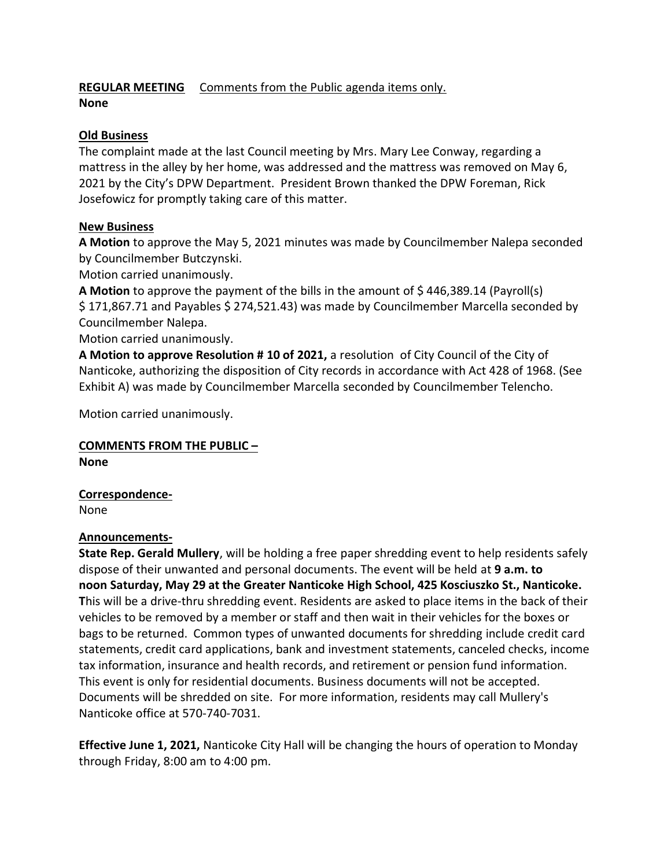# **REGULAR MEETING** Comments from the Public agenda items only.

## **None**

## **Old Business**

The complaint made at the last Council meeting by Mrs. Mary Lee Conway, regarding a mattress in the alley by her home, was addressed and the mattress was removed on May 6, 2021 by the City's DPW Department. President Brown thanked the DPW Foreman, Rick Josefowicz for promptly taking care of this matter.

# **New Business**

**A Motion** to approve the May 5, 2021 minutes was made by Councilmember Nalepa seconded by Councilmember Butczynski.

Motion carried unanimously.

**A Motion** to approve the payment of the bills in the amount of \$ 446,389.14 (Payroll(s) \$ 171,867.71 and Payables \$ 274,521.43) was made by Councilmember Marcella seconded by Councilmember Nalepa.

Motion carried unanimously.

**A Motion to approve Resolution # 10 of 2021,** a resolution of City Council of the City of Nanticoke, authorizing the disposition of City records in accordance with Act 428 of 1968. (See Exhibit A) was made by Councilmember Marcella seconded by Councilmember Telencho.

Motion carried unanimously.

# **COMMENTS FROM THE PUBLIC –**

**None**

# **Correspondence-**

None

## **Announcements-**

**State Rep. Gerald Mullery**, will be holding a free paper shredding event to help residents safely dispose of their unwanted and personal documents. The event will be held at **9 a.m. to noon Saturday, May 29 at the Greater Nanticoke High School, 425 Kosciuszko St., Nanticoke. T**his will be a drive-thru shredding event. Residents are asked to place items in the back of their vehicles to be removed by a member or staff and then wait in their vehicles for the boxes or bags to be returned. Common types of unwanted documents for shredding include credit card statements, credit card applications, bank and investment statements, canceled checks, income tax information, insurance and health records, and retirement or pension fund information. This event is only for residential documents. Business documents will not be accepted. Documents will be shredded on site. For more information, residents may call Mullery's Nanticoke office at 570-740-7031.

**Effective June 1, 2021,** Nanticoke City Hall will be changing the hours of operation to Monday through Friday, 8:00 am to 4:00 pm.